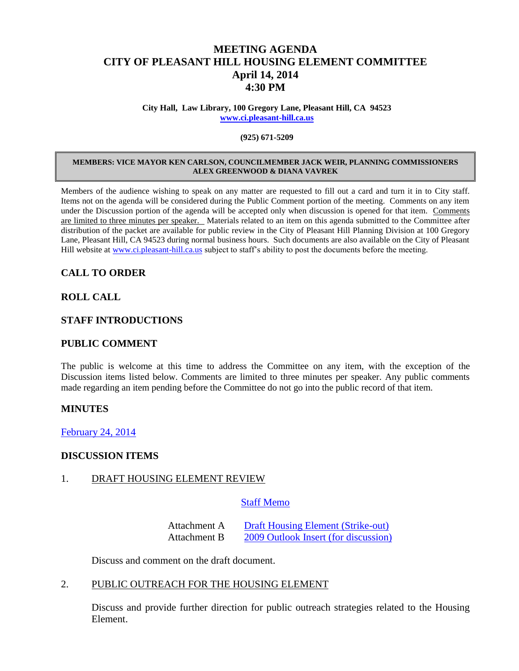## **MEETING AGENDA CITY OF PLEASANT HILL HOUSING ELEMENT COMMITTEE April 14, 2014 4:30 PM**

**City Hall, Law Library, 100 Gregory Lane, Pleasant Hill, CA 94523 [www.ci.pleasant-hill.ca.us](http://www.ci.pleasant-hill.ca.us/)**

#### **(925) 671-5209**

#### **MEMBERS: VICE MAYOR KEN CARLSON, COUNCILMEMBER JACK WEIR, PLANNING COMMISSIONERS ALEX GREENWOOD & DIANA VAVREK**

Members of the audience wishing to speak on any matter are requested to fill out a card and turn it in to City staff. Items not on the agenda will be considered during the Public Comment portion of the meeting. Comments on any item under the Discussion portion of the agenda will be accepted only when discussion is opened for that item. Comments are limited to three minutes per speaker. Materials related to an item on this agenda submitted to the Committee after distribution of the packet are available for public review in the City of Pleasant Hill Planning Division at 100 Gregory Lane, Pleasant Hill, CA 94523 during normal business hours. Such documents are also available on the City of Pleasant Hill website at [www.ci.pleasant-hill.ca.us](http://www.ci.pleasant-hill.ca.us/) subject to staff's ability to post the documents before the meeting.

## **CALL TO ORDER**

## **ROLL CALL**

### **STAFF INTRODUCTIONS**

#### **PUBLIC COMMENT**

The public is welcome at this time to address the Committee on any item, with the exception of the Discussion items listed below. Comments are limited to three minutes per speaker. Any public comments made regarding an item pending before the Committee do not go into the public record of that item.

#### **MINUTES**

[February 24, 2014](http://www.ci.pleasant-hill.ca.us/DocumentCenter/View/12321)

#### **DISCUSSION ITEMS**

#### 1. DRAFT HOUSING ELEMENT REVIEW

## [Staff Memo](http://www.ci.pleasant-hill.ca.us/DocumentCenter/View/12320)

| Attachment A | <b>Draft Housing Element (Strike-out)</b> |
|--------------|-------------------------------------------|
| Attachment B | 2009 Outlook Insert (for discussion)      |

Discuss and comment on the draft document.

## 2. PUBLIC OUTREACH FOR THE HOUSING ELEMENT

Discuss and provide further direction for public outreach strategies related to the Housing Element.